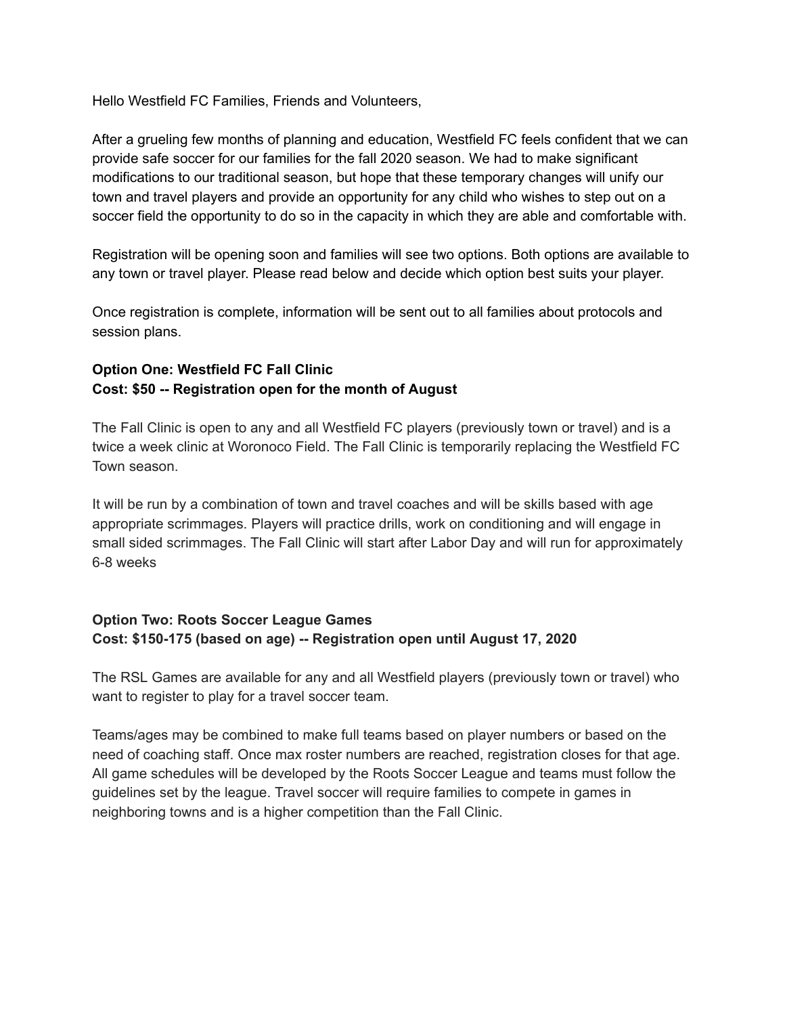Hello Westfield FC Families, Friends and Volunteers,

After a grueling few months of planning and education, Westfield FC feels confident that we can provide safe soccer for our families for the fall 2020 season. We had to make significant modifications to our traditional season, but hope that these temporary changes will unify our town and travel players and provide an opportunity for any child who wishes to step out on a soccer field the opportunity to do so in the capacity in which they are able and comfortable with.

Registration will be opening soon and families will see two options. Both options are available to any town or travel player. Please read below and decide which option best suits your player.

Once registration is complete, information will be sent out to all families about protocols and session plans.

### **Option One: Westfield FC Fall Clinic Cost: \$50 -- Registration open for the month of August**

The Fall Clinic is open to any and all Westfield FC players (previously town or travel) and is a twice a week clinic at Woronoco Field. The Fall Clinic is temporarily replacing the Westfield FC Town season.

It will be run by a combination of town and travel coaches and will be skills based with age appropriate scrimmages. Players will practice drills, work on conditioning and will engage in small sided scrimmages. The Fall Clinic will start after Labor Day and will run for approximately 6-8 weeks

### **Option Two: Roots Soccer League Games Cost: \$150-175 (based on age) -- Registration open until August 17, 2020**

The RSL Games are available for any and all Westfield players (previously town or travel) who want to register to play for a travel soccer team.

Teams/ages may be combined to make full teams based on player numbers or based on the need of coaching staff. Once max roster numbers are reached, registration closes for that age. All game schedules will be developed by the Roots Soccer League and teams must follow the guidelines set by the league. Travel soccer will require families to compete in games in neighboring towns and is a higher competition than the Fall Clinic.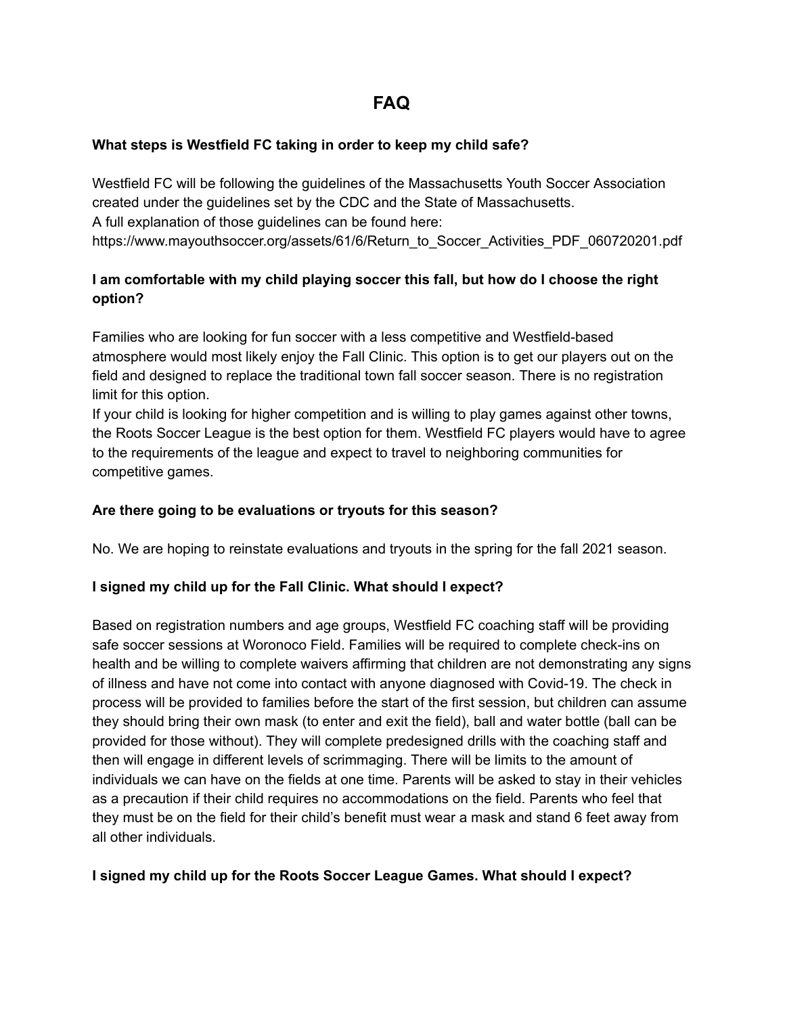#### **What steps is Westfield FC taking in order to keep my child safe?**

Westfield FC will be following the guidelines of the Massachusetts Youth Soccer Association created under the guidelines set by the CDC and the State of Massachusetts. A full explanation of those guidelines can be found here: https://www.mayouthsoccer.org/assets/61/6/Return\_to\_Soccer\_Activities\_PDF\_060720201.pdf

# **I am comfortable with my child playing soccer this fall, but how do I choose the right option?**

Families who are looking for fun soccer with a less competitive and Westfield-based atmosphere would most likely enjoy the Fall Clinic. This option is to get our players out on the field and designed to replace the traditional town fall soccer season. There is no registration limit for this option.

If your child is looking for higher competition and is willing to play games against other towns, the Roots Soccer League is the best option for them. Westfield FC players would have to agree to the requirements of the league and expect to travel to neighboring communities for competitive games.

#### **Are there going to be evaluations or tryouts for this season?**

No. We are hoping to reinstate evaluations and tryouts in the spring for the fall 2021 season.

#### **I signed my child up for the Fall Clinic. What should I expect?**

Based on registration numbers and age groups, Westfield FC coaching staff will be providing safe soccer sessions at Woronoco Field. Families will be required to complete check-ins on health and be willing to complete waivers affirming that children are not demonstrating any signs of illness and have not come into contact with anyone diagnosed with Covid-19. The check in process will be provided to families before the start of the first session, but children can assume they should bring their own mask (to enter and exit the field), ball and water bottle (ball can be provided for those without). They will complete predesigned drills with the coaching staff and then will engage in different levels of scrimmaging. There will be limits to the amount of individuals we can have on the fields at one time. Parents will be asked to stay in their vehicles as a precaution if their child requires no accommodations on the field. Parents who feel that they must be on the field for their child's benefit must wear a mask and stand 6 feet away from all other individuals.

#### **I signed my child up for the Roots Soccer League Games. What should I expect?**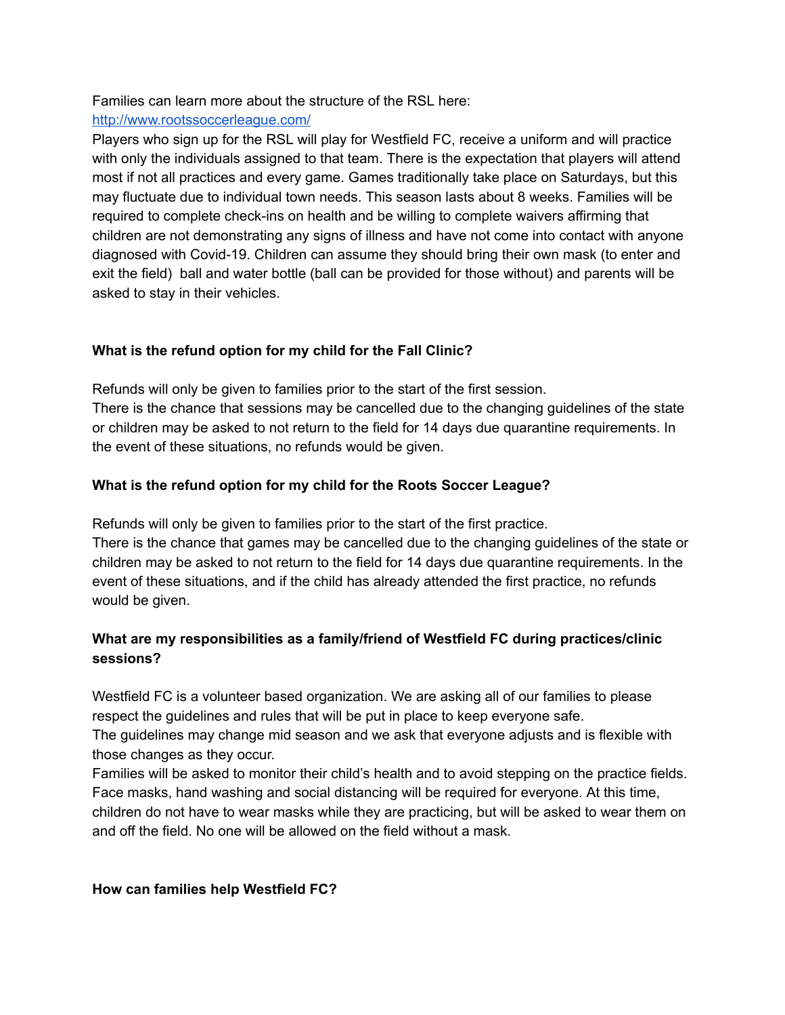# Families can learn more about the structure of the RSL here:

#### <http://www.rootssoccerleague.com/>

Players who sign up for the RSL will play for Westfield FC, receive a uniform and will practice with only the individuals assigned to that team. There is the expectation that players will attend most if not all practices and every game. Games traditionally take place on Saturdays, but this may fluctuate due to individual town needs. This season lasts about 8 weeks. Families will be required to complete check-ins on health and be willing to complete waivers affirming that children are not demonstrating any signs of illness and have not come into contact with anyone diagnosed with Covid-19. Children can assume they should bring their own mask (to enter and exit the field) ball and water bottle (ball can be provided for those without) and parents will be asked to stay in their vehicles.

## **What is the refund option for my child for the Fall Clinic?**

Refunds will only be given to families prior to the start of the first session.

There is the chance that sessions may be cancelled due to the changing guidelines of the state or children may be asked to not return to the field for 14 days due quarantine requirements. In the event of these situations, no refunds would be given.

## **What is the refund option for my child for the Roots Soccer League?**

Refunds will only be given to families prior to the start of the first practice.

There is the chance that games may be cancelled due to the changing guidelines of the state or children may be asked to not return to the field for 14 days due quarantine requirements. In the event of these situations, and if the child has already attended the first practice, no refunds would be given.

# **What are my responsibilities as a family/friend of Westfield FC during practices/clinic sessions?**

Westfield FC is a volunteer based organization. We are asking all of our families to please respect the guidelines and rules that will be put in place to keep everyone safe.

The guidelines may change mid season and we ask that everyone adjusts and is flexible with those changes as they occur.

Families will be asked to monitor their child's health and to avoid stepping on the practice fields. Face masks, hand washing and social distancing will be required for everyone. At this time, children do not have to wear masks while they are practicing, but will be asked to wear them on and off the field. No one will be allowed on the field without a mask.

### **How can families help Westfield FC?**